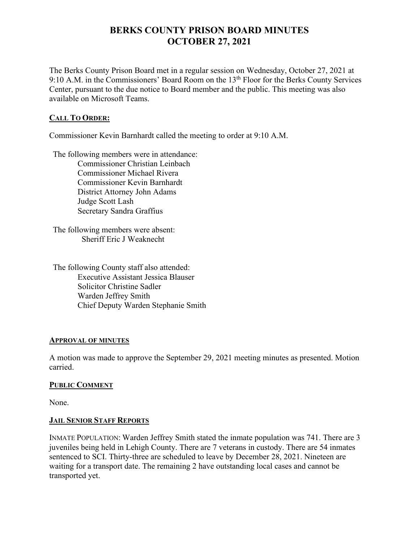# **BERKS COUNTY PRISON BOARD MINUTES OCTOBER 27, 2021**

The Berks County Prison Board met in a regular session on Wednesday, October 27, 2021 at 9:10 A.M. in the Commissioners' Board Room on the 13<sup>th</sup> Floor for the Berks County Services Center, pursuant to the due notice to Board member and the public. This meeting was also available on Microsoft Teams.

# **CALL TO ORDER:**

Commissioner Kevin Barnhardt called the meeting to order at 9:10 A.M.

The following members were in attendance: Commissioner Christian Leinbach Commissioner Michael Rivera Commissioner Kevin Barnhardt District Attorney John Adams Judge Scott Lash Secretary Sandra Graffius

The following members were absent: Sheriff Eric J Weaknecht

The following County staff also attended: Executive Assistant Jessica Blauser Solicitor Christine Sadler Warden Jeffrey Smith Chief Deputy Warden Stephanie Smith

# **APPROVAL OF MINUTES**

A motion was made to approve the September 29, 2021 meeting minutes as presented. Motion carried.

# **PUBLIC COMMENT**

None.

# **JAIL SENIOR STAFF REPORTS**

INMATE POPULATION: Warden Jeffrey Smith stated the inmate population was 741. There are 3 juveniles being held in Lehigh County. There are 7 veterans in custody. There are 54 inmates sentenced to SCI. Thirty-three are scheduled to leave by December 28, 2021. Nineteen are waiting for a transport date. The remaining 2 have outstanding local cases and cannot be transported yet.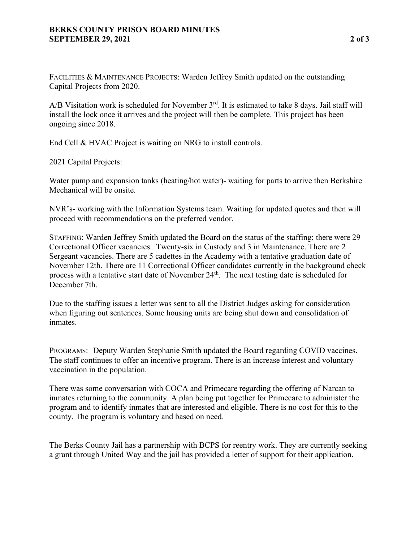# **BERKS COUNTY PRISON BOARD MINUTES SEPTEMBER 29, 2021 2 of 3**

FACILITIES & MAINTENANCE PROJECTS: Warden Jeffrey Smith updated on the outstanding Capital Projects from 2020.

A/B Visitation work is scheduled for November  $3<sup>rd</sup>$ . It is estimated to take 8 days. Jail staff will install the lock once it arrives and the project will then be complete. This project has been ongoing since 2018.

End Cell & HVAC Project is waiting on NRG to install controls.

2021 Capital Projects:

Water pump and expansion tanks (heating/hot water)- waiting for parts to arrive then Berkshire Mechanical will be onsite.

NVR's- working with the Information Systems team. Waiting for updated quotes and then will proceed with recommendations on the preferred vendor.

STAFFING: Warden Jeffrey Smith updated the Board on the status of the staffing; there were 29 Correctional Officer vacancies. Twenty-six in Custody and 3 in Maintenance. There are 2 Sergeant vacancies. There are 5 cadettes in the Academy with a tentative graduation date of November 12th. There are 11 Correctional Officer candidates currently in the background check process with a tentative start date of November  $24<sup>th</sup>$ . The next testing date is scheduled for December 7th.

Due to the staffing issues a letter was sent to all the District Judges asking for consideration when figuring out sentences. Some housing units are being shut down and consolidation of inmates.

PROGRAMS: Deputy Warden Stephanie Smith updated the Board regarding COVID vaccines. The staff continues to offer an incentive program. There is an increase interest and voluntary vaccination in the population.

There was some conversation with COCA and Primecare regarding the offering of Narcan to inmates returning to the community. A plan being put together for Primecare to administer the program and to identify inmates that are interested and eligible. There is no cost for this to the county. The program is voluntary and based on need.

The Berks County Jail has a partnership with BCPS for reentry work. They are currently seeking a grant through United Way and the jail has provided a letter of support for their application.